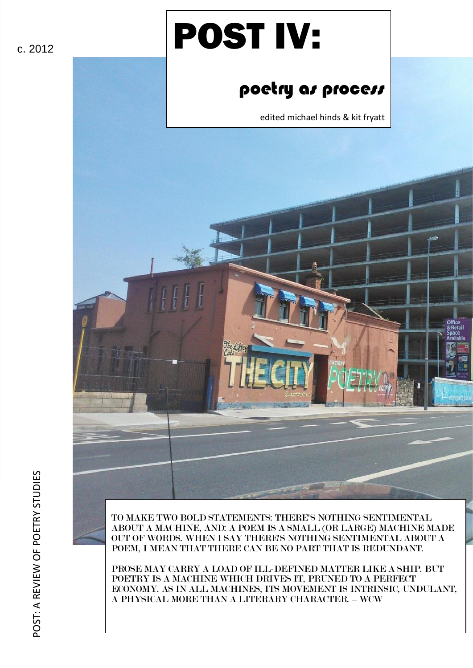# POST IV:

## poetry as process

edited michael hinds & kit fryatt





POST: A REVIEW OF POETRY STUDIES

POST: A REVIEW OF POETRY STUDIES

TO MAKE TWO BOLD STATEMENTS: THERE'S NOTHING SENTIMENTAL ABOUT A MACHINE, AND: A POEM IS A SMALL (OR LARGE) MACHINE MADE OUT OF WORDS. WHEN I SAY THERE'S NOTHING SENTIMENTAL ABOUT A POEM, I MEAN THAT THERE CAN BE NO PART THAT IS REDUNDANT.

PROSE MAY CARRY A LOAD OF ILL-DEFINED MATTER LIKE A SHIP. BUT POETRY IS A MACHINE WHICH DRIVES IT, PRUNED TO A PERFECT ECONOMY. AS IN ALL MACHINES, ITS MOVEMENT IS INTRINSIC, UNDULANT, A PHYSICAL MORE THAN A LITERARY CHARACTER. – WCW

c. 2012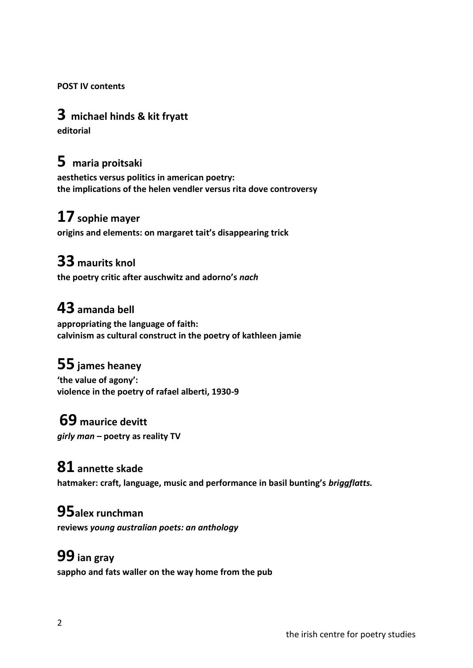**POST IV contents**

## **3 michael hinds & kit fryatt**

**editorial**

## **5 maria proitsaki**

**aesthetics versus politics in american poetry: the implications of the helen vendler versus rita dove controversy**

## **17 sophie mayer**

**origins and elements: on margaret tait's disappearing trick**

## **33 maurits knol**

**the poetry critic after auschwitz and adorno's** *nach*

## **43 amanda bell**

**appropriating the language of faith: calvinism as cultural construct in the poetry of kathleen jamie**

## **55 james heaney**

**'the value of agony': violence in the poetry of rafael alberti, 1930-9**

## **69 maurice devitt**

*girly man* **– poetry as reality TV**

## **81 annette skade**

**hatmaker: craft, language, music and performance in basil bunting's** *briggflatts.*

### **95alex runchman**

**reviews** *young australian poets: an anthology*

## **99 ian gray**

**sappho and fats waller on the way home from the pub**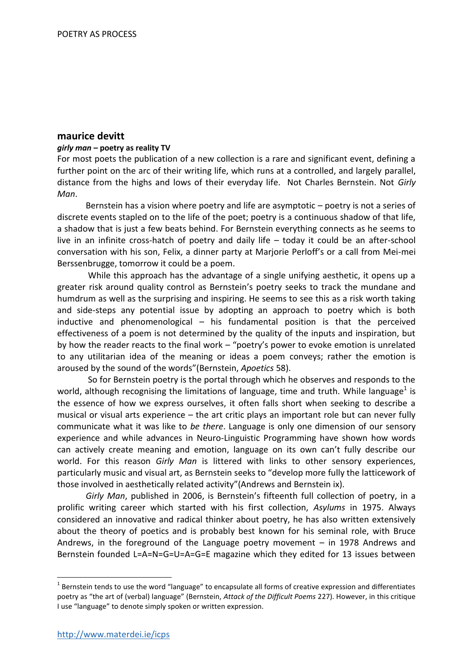#### **maurice devitt**

#### *girly man* **– poetry as reality TV**

For most poets the publication of a new collection is a rare and significant event, defining a further point on the arc of their writing life, which runs at a controlled, and largely parallel, distance from the highs and lows of their everyday life. Not Charles Bernstein. Not *Girly Man*.

Bernstein has a vision where poetry and life are asymptotic – poetry is not a series of discrete events stapled on to the life of the poet; poetry is a continuous shadow of that life, a shadow that is just a few beats behind. For Bernstein everything connects as he seems to live in an infinite cross-hatch of poetry and daily life – today it could be an after-school conversation with his son, Felix, a dinner party at Marjorie Perloff's or a call from Mei-mei Berssenbrugge, tomorrow it could be a poem.

While this approach has the advantage of a single unifying aesthetic, it opens up a greater risk around quality control as Bernstein's poetry seeks to track the mundane and humdrum as well as the surprising and inspiring. He seems to see this as a risk worth taking and side-steps any potential issue by adopting an approach to poetry which is both inductive and phenomenological – his fundamental position is that the perceived effectiveness of a poem is not determined by the quality of the inputs and inspiration, but by how the reader reacts to the final work – "poetry's power to evoke emotion is unrelated to any utilitarian idea of the meaning or ideas a poem conveys; rather the emotion is aroused by the sound of the words"(Bernstein, *Apoetics* 58).

So for Bernstein poetry is the portal through which he observes and responds to the world, although recognising the limitations of language, time and truth. While language<sup>1</sup> is the essence of how we express ourselves, it often falls short when seeking to describe a musical or visual arts experience – the art critic plays an important role but can never fully communicate what it was like to *be there*. Language is only one dimension of our sensory experience and while advances in Neuro-Linguistic Programming have shown how words can actively create meaning and emotion, language on its own can't fully describe our world. For this reason *Girly Man* is littered with links to other sensory experiences, particularly music and visual art, as Bernstein seeks to "develop more fully the latticework of those involved in aesthetically related activity"(Andrews and Bernstein ix).

*Girly Man*, published in 2006, is Bernstein's fifteenth full collection of poetry, in a prolific writing career which started with his first collection, *Asylums* in 1975. Always considered an innovative and radical thinker about poetry, he has also written extensively about the theory of poetics and is probably best known for his seminal role, with Bruce Andrews, in the foreground of the Language poetry movement – in 1978 Andrews and Bernstein founded L=A=N=G=U=A=G=E magazine which they edited for 13 issues between

 $1$  Bernstein tends to use the word "language" to encapsulate all forms of creative expression and differentiates poetry as "the art of (verbal) language" (Bernstein, *Attack of the Difficult Poems* 227). However, in this critique I use "language" to denote simply spoken or written expression.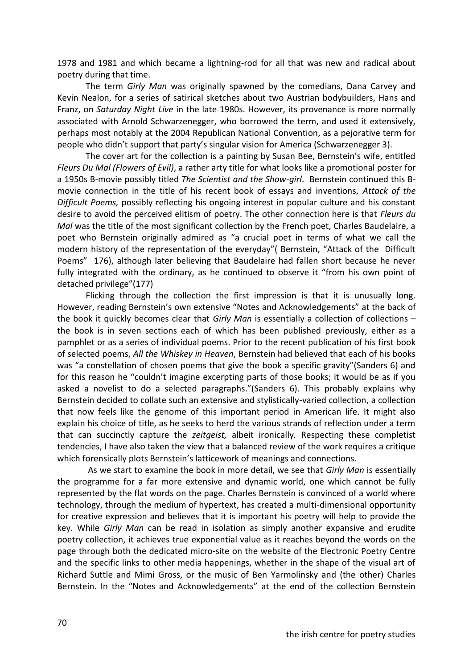1978 and 1981 and which became a lightning-rod for all that was new and radical about poetry during that time.

The term *Girly Man* was originally spawned by the comedians, Dana Carvey and Kevin Nealon, for a series of satirical sketches about two Austrian bodybuilders, Hans and Franz, on *Saturday Night Live* in the late 1980s. However, its provenance is more normally associated with Arnold Schwarzenegger, who borrowed the term, and used it extensively, perhaps most notably at the 2004 Republican National Convention, as a pejorative term for people who didn't support that party's singular vision for America (Schwarzenegger 3).

The cover art for the collection is a painting by Susan Bee, Bernstein's wife, entitled *Fleurs Du Mal (Flowers of Evil)*, a rather arty title for what looks like a promotional poster for a 1950s B-movie possibly titled *The Scientist and the Show-girl*. Bernstein continued this Bmovie connection in the title of his recent book of essays and inventions, *Attack of the Difficult Poems,* possibly reflecting his ongoing interest in popular culture and his constant desire to avoid the perceived elitism of poetry. The other connection here is that *Fleurs du Mal* was the title of the most significant collection by the French poet, Charles Baudelaire, a poet who Bernstein originally admired as "a crucial poet in terms of what we call the modern history of the representation of the everyday"( Bernstein, "Attack of the Difficult Poems" 176), although later believing that Baudelaire had fallen short because he never fully integrated with the ordinary, as he continued to observe it "from his own point of detached privilege"(177)

Flicking through the collection the first impression is that it is unusually long. However, reading Bernstein's own extensive "Notes and Acknowledgements" at the back of the book it quickly becomes clear that *Girly Man* is essentially a collection of collections – the book is in seven sections each of which has been published previously, either as a pamphlet or as a series of individual poems. Prior to the recent publication of his first book of selected poems, *All the Whiskey in Heaven*, Bernstein had believed that each of his books was "a constellation of chosen poems that give the book a specific gravity"(Sanders 6) and for this reason he "couldn't imagine excerpting parts of those books; it would be as if you asked a novelist to do a selected paragraphs."(Sanders 6). This probably explains why Bernstein decided to collate such an extensive and stylistically-varied collection, a collection that now feels like the genome of this important period in American life. It might also explain his choice of title, as he seeks to herd the various strands of reflection under a term that can succinctly capture the *zeitgeist,* albeit ironically*.* Respecting these completist tendencies, I have also taken the view that a balanced review of the work requires a critique which forensically plots Bernstein's latticework of meanings and connections.

As we start to examine the book in more detail, we see that *Girly Man* is essentially the programme for a far more extensive and dynamic world, one which cannot be fully represented by the flat words on the page. Charles Bernstein is convinced of a world where technology, through the medium of hypertext, has created a multi-dimensional opportunity for creative expression and believes that it is important his poetry will help to provide the key. While *Girly Man* can be read in isolation as simply another expansive and erudite poetry collection, it achieves true exponential value as it reaches beyond the words on the page through both the dedicated micro-site on the website of the Electronic Poetry Centre and the specific links to other media happenings, whether in the shape of the visual art of Richard Suttle and Mimi Gross, or the music of Ben Yarmolinsky and (the other) Charles Bernstein. In the "Notes and Acknowledgements" at the end of the collection Bernstein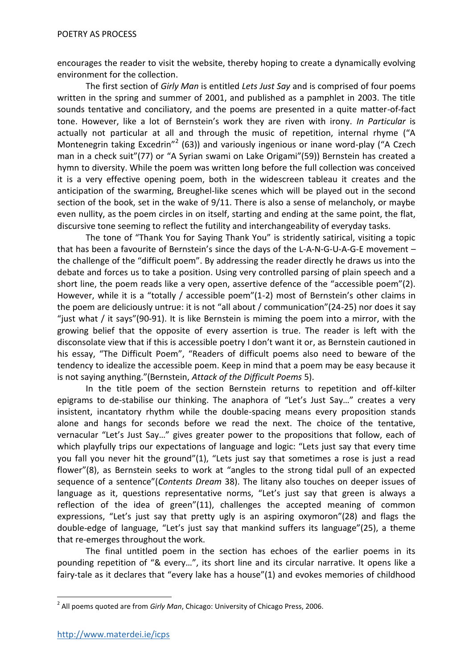encourages the reader to visit the website, thereby hoping to create a dynamically evolving environment for the collection.

The first section of *Girly Man* is entitled *Lets Just Say* and is comprised of four poems written in the spring and summer of 2001, and published as a pamphlet in 2003. The title sounds tentative and conciliatory, and the poems are presented in a quite matter-of-fact tone. However, like a lot of Bernstein's work they are riven with irony. *In Particular* is actually not particular at all and through the music of repetition, internal rhyme ("A Montenegrin taking Excedrin"<sup>2</sup> (63)) and variously ingenious or inane word-play ("A Czech man in a check suit"(77) or "A Syrian swami on Lake Origami"(59)) Bernstein has created a hymn to diversity. While the poem was written long before the full collection was conceived it is a very effective opening poem, both in the widescreen tableau it creates and the anticipation of the swarming, Breughel-like scenes which will be played out in the second section of the book, set in the wake of 9/11. There is also a sense of melancholy, or maybe even nullity, as the poem circles in on itself, starting and ending at the same point, the flat, discursive tone seeming to reflect the futility and interchangeability of everyday tasks.

The tone of "Thank You for Saying Thank You" is stridently satirical, visiting a topic that has been a favourite of Bernstein's since the days of the L-A-N-G-U-A-G-E movement – the challenge of the "difficult poem". By addressing the reader directly he draws us into the debate and forces us to take a position. Using very controlled parsing of plain speech and a short line, the poem reads like a very open, assertive defence of the "accessible poem"(2). However, while it is a "totally / accessible poem"(1-2) most of Bernstein's other claims in the poem are deliciously untrue: it is not "all about / communication"(24-25) nor does it say "just what / it says"(90-91). It is like Bernstein is miming the poem into a mirror, with the growing belief that the opposite of every assertion is true. The reader is left with the disconsolate view that if this is accessible poetry I don't want it or, as Bernstein cautioned in his essay, "The Difficult Poem", "Readers of difficult poems also need to beware of the tendency to idealize the accessible poem. Keep in mind that a poem may be easy because it is not saying anything."(Bernstein, *Attack of the Difficult Poems* 5).

In the title poem of the section Bernstein returns to repetition and off-kilter epigrams to de-stabilise our thinking. The anaphora of "Let's Just Say…" creates a very insistent, incantatory rhythm while the double-spacing means every proposition stands alone and hangs for seconds before we read the next. The choice of the tentative, vernacular "Let's Just Say…" gives greater power to the propositions that follow, each of which playfully trips our expectations of language and logic: "Lets just say that every time you fall you never hit the ground"(1), "Lets just say that sometimes a rose is just a read flower"(8), as Bernstein seeks to work at "angles to the strong tidal pull of an expected sequence of a sentence"(*Contents Dream* 38). The litany also touches on deeper issues of language as it, questions representative norms, "Let's just say that green is always a reflection of the idea of green"(11), challenges the accepted meaning of common expressions, "Let's just say that pretty ugly is an aspiring oxymoron"(28) and flags the double-edge of language, "Let's just say that mankind suffers its language"(25), a theme that re-emerges throughout the work.

The final untitled poem in the section has echoes of the earlier poems in its pounding repetition of "& every…", its short line and its circular narrative. It opens like a fairy-tale as it declares that "every lake has a house"(1) and evokes memories of childhood

**<sup>.</sup>** 2 All poems quoted are from *Girly Man*, Chicago: University of Chicago Press, 2006.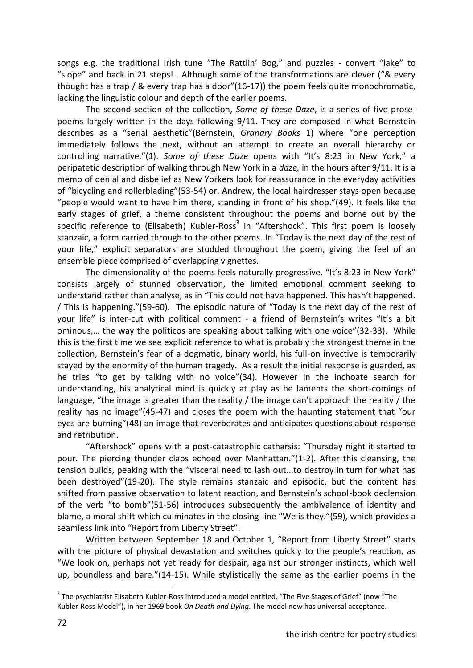songs e.g. the traditional Irish tune "The Rattlin' Bog," and puzzles - convert "lake" to "slope" and back in 21 steps! . Although some of the transformations are clever ("& every thought has a trap / & every trap has a door"(16-17)) the poem feels quite monochromatic, lacking the linguistic colour and depth of the earlier poems.

The second section of the collection, *Some of these Daze*, is a series of five prosepoems largely written in the days following 9/11. They are composed in what Bernstein describes as a "serial aesthetic"(Bernstein, *Granary Books* 1) where "one perception immediately follows the next, without an attempt to create an overall hierarchy or controlling narrative."(1). *Some of these Daze* opens with "It's 8:23 in New York," a peripatetic description of walking through New York in a *daze,* in the hours after 9/11. It is a memo of denial and disbelief as New Yorkers look for reassurance in the everyday activities of "bicycling and rollerblading"(53-54) or, Andrew, the local hairdresser stays open because "people would want to have him there, standing in front of his shop."(49). It feels like the early stages of grief, a theme consistent throughout the poems and borne out by the specific reference to (Elisabeth) Kubler-Ross<sup>3</sup> in "Aftershock". This first poem is loosely stanzaic, a form carried through to the other poems. In "Today is the next day of the rest of your life," explicit separators are studded throughout the poem, giving the feel of an ensemble piece comprised of overlapping vignettes.

The dimensionality of the poems feels naturally progressive. "It's 8:23 in New York" consists largely of stunned observation, the limited emotional comment seeking to understand rather than analyse, as in "This could not have happened. This hasn't happened. / This is happening."(59-60). The episodic nature of "Today is the next day of the rest of your life" is inter-cut with political comment - a friend of Bernstein's writes "It's a bit ominous,… the way the politicos are speaking about talking with one voice"(32-33). While this is the first time we see explicit reference to what is probably the strongest theme in the collection, Bernstein's fear of a dogmatic, binary world, his full-on invective is temporarily stayed by the enormity of the human tragedy. As a result the initial response is guarded, as he tries "to get by talking with no voice"(34). However in the inchoate search for understanding, his analytical mind is quickly at play as he laments the short-comings of language, "the image is greater than the reality / the image can't approach the reality / the reality has no image"(45-47) and closes the poem with the haunting statement that "our eyes are burning"(48) an image that reverberates and anticipates questions about response and retribution.

"Aftershock" opens with a post-catastrophic catharsis: "Thursday night it started to pour. The piercing thunder claps echoed over Manhattan."(1-2). After this cleansing, the tension builds, peaking with the "visceral need to lash out...to destroy in turn for what has been destroyed"(19-20). The style remains stanzaic and episodic, but the content has shifted from passive observation to latent reaction, and Bernstein's school-book declension of the verb "to bomb"(51-56) introduces subsequently the ambivalence of identity and blame, a moral shift which culminates in the closing-line "We is they."(59), which provides a seamless link into "Report from Liberty Street".

Written between September 18 and October 1, "Report from Liberty Street" starts with the picture of physical devastation and switches quickly to the people's reaction, as "We look on, perhaps not yet ready for despair, against our stronger instincts, which well up, boundless and bare."(14-15). While stylistically the same as the earlier poems in the

 3 The psychiatrist Elisabeth Kubler-Ross introduced a model entitled, "The Five Stages of Grief" (now "The Kubler-Ross Model"), in her 1969 book *On Death and Dying*. The model now has universal acceptance.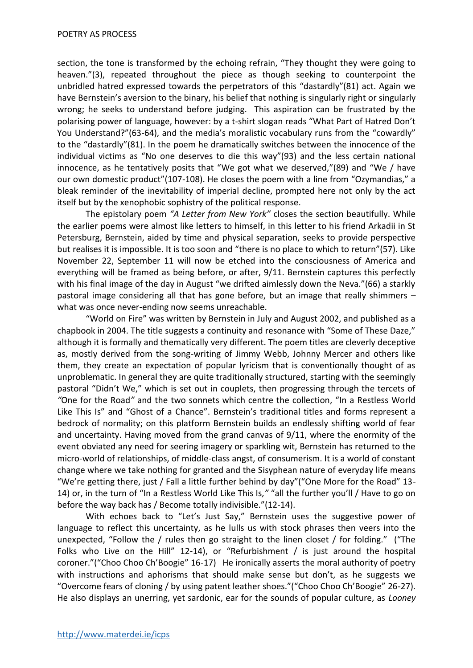section, the tone is transformed by the echoing refrain, "They thought they were going to heaven."(3), repeated throughout the piece as though seeking to counterpoint the unbridled hatred expressed towards the perpetrators of this "dastardly"(81) act. Again we have Bernstein's aversion to the binary, his belief that nothing is singularly right or singularly wrong; he seeks to understand before judging. This aspiration can be frustrated by the polarising power of language, however: by a t-shirt slogan reads "What Part of Hatred Don't You Understand?"(63-64), and the media's moralistic vocabulary runs from the "cowardly" to the "dastardly"(81). In the poem he dramatically switches between the innocence of the individual victims as "No one deserves to die this way"(93) and the less certain national innocence, as he tentatively posits that "We got what we deserved,"(89) and "We / have our own domestic product"(107-108). He closes the poem with a line from "Ozymandias," a bleak reminder of the inevitability of imperial decline, prompted here not only by the act itself but by the xenophobic sophistry of the political response.

The epistolary poem *"A Letter from New York"* closes the section beautifully. While the earlier poems were almost like letters to himself, in this letter to his friend Arkadii in St Petersburg, Bernstein, aided by time and physical separation, seeks to provide perspective but realises it is impossible. It is too soon and "there is no place to which to return"(57). Like November 22, September 11 will now be etched into the consciousness of America and everything will be framed as being before, or after, 9/11. Bernstein captures this perfectly with his final image of the day in August "we drifted aimlessly down the Neva."(66) a starkly pastoral image considering all that has gone before, but an image that really shimmers – what was once never-ending now seems unreachable.

"World on Fire" was written by Bernstein in July and August 2002, and published as a chapbook in 2004. The title suggests a continuity and resonance with "Some of These Daze," although it is formally and thematically very different. The poem titles are cleverly deceptive as, mostly derived from the song-writing of Jimmy Webb, Johnny Mercer and others like them, they create an expectation of popular lyricism that is conventionally thought of as unproblematic. In general they are quite traditionally structured, starting with the seemingly pastoral "Didn't We," which is set out in couplets, then progressing through the tercets of *"*One for the Road*"* and the two sonnets which centre the collection, "In a Restless World Like This Is" and "Ghost of a Chance". Bernstein's traditional titles and forms represent a bedrock of normality; on this platform Bernstein builds an endlessly shifting world of fear and uncertainty. Having moved from the grand canvas of 9/11, where the enormity of the event obviated any need for seering imagery or sparkling wit, Bernstein has returned to the micro-world of relationships, of middle-class angst, of consumerism. It is a world of constant change where we take nothing for granted and the Sisyphean nature of everyday life means "We're getting there, just / Fall a little further behind by day"("One More for the Road" 13- 14) or, in the turn of "In a Restless World Like This Is*,"* "all the further you'll / Have to go on before the way back has / Become totally indivisible."(12-14).

With echoes back to "Let's Just Say," Bernstein uses the suggestive power of language to reflect this uncertainty, as he lulls us with stock phrases then veers into the unexpected, "Follow the / rules then go straight to the linen closet / for folding." ("The Folks who Live on the Hill" 12-14), or "Refurbishment / is just around the hospital coroner."("Choo Choo Ch'Boogie" 16-17) He ironically asserts the moral authority of poetry with instructions and aphorisms that should make sense but don't, as he suggests we "Overcome fears of cloning / by using patent leather shoes."("Choo Choo Ch'Boogie" 26-27). He also displays an unerring, yet sardonic, ear for the sounds of popular culture, as *Looney*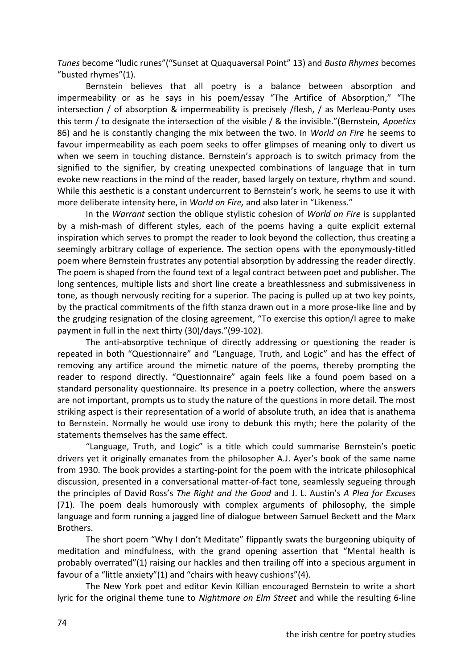*Tunes* become "ludic runes"("Sunset at Quaquaversal Point" 13) and *Busta Rhymes* becomes "busted rhymes"(1).

Bernstein believes that all poetry is a balance between absorption and impermeability or as he says in his poem/essay "The Artifice of Absorption," "The intersection / of absorption & impermeability is precisely /flesh, / as Merleau-Ponty uses this term / to designate the intersection of the visible / & the invisible."(Bernstein, *Apoetics* 86) and he is constantly changing the mix between the two. In *World on Fire* he seems to favour impermeability as each poem seeks to offer glimpses of meaning only to divert us when we seem in touching distance. Bernstein's approach is to switch primacy from the signified to the signifier, by creating unexpected combinations of language that in turn evoke new reactions in the mind of the reader, based largely on texture, rhythm and sound. While this aesthetic is a constant undercurrent to Bernstein's work, he seems to use it with more deliberate intensity here, in *World on Fire,* and also later in "Likenes*s*."

In the *Warrant* section the oblique stylistic cohesion of *World on Fire* is supplanted by a mish-mash of different styles, each of the poems having a quite explicit external inspiration which serves to prompt the reader to look beyond the collection, thus creating a seemingly arbitrary collage of experience. The section opens with the eponymously-titled poem where Bernstein frustrates any potential absorption by addressing the reader directly. The poem is shaped from the found text of a legal contract between poet and publisher. The long sentences, multiple lists and short line create a breathlessness and submissiveness in tone, as though nervously reciting for a superior. The pacing is pulled up at two key points, by the practical commitments of the fifth stanza drawn out in a more prose-like line and by the grudging resignation of the closing agreement, "To exercise this option/I agree to make payment in full in the next thirty (30)/days."(99-102).

The anti-absorptive technique of directly addressing or questioning the reader is repeated in both "Questionnaire" and "Language, Truth, and Logic" and has the effect of removing any artifice around the mimetic nature of the poems, thereby prompting the reader to respond directly. "Questionnaire" again feels like a found poem based on a standard personality questionnaire. Its presence in a poetry collection, where the answers are not important, prompts us to study the nature of the questions in more detail. The most striking aspect is their representation of a world of absolute truth, an idea that is anathema to Bernstein. Normally he would use irony to debunk this myth; here the polarity of the statements themselves has the same effect.

"Language, Truth, and Logic" is a title which could summarise Bernstein's poetic drivers yet it originally emanates from the philosopher A.J. Ayer's book of the same name from 1930. The book provides a starting-point for the poem with the intricate philosophical discussion, presented in a conversational matter-of-fact tone, seamlessly segueing through the principles of David Ross's *The Right and the Good* and J. L. Austin's *A Plea for Excuses*  (71). The poem deals humorously with complex arguments of philosophy, the simple language and form running a jagged line of dialogue between Samuel Beckett and the Marx Brothers.

The short poem "Why I don't Meditate" flippantly swats the burgeoning ubiquity of meditation and mindfulness, with the grand opening assertion that "Mental health is probably overrated"(1) raising our hackles and then trailing off into a specious argument in favour of a "little anxiety"(1) and "chairs with heavy cushions"(4).

The New York poet and editor Kevin Killian encouraged Bernstein to write a short lyric for the original theme tune to *Nightmare on Elm Street* and while the resulting 6-line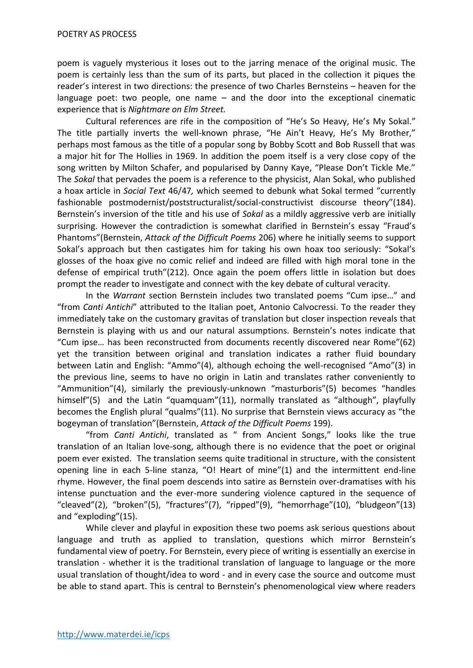poem is vaguely mysterious it loses out to the jarring menace of the original music. The poem is certainly less than the sum of its parts, but placed in the collection it piques the reader's interest in two directions: the presence of two Charles Bernsteins – heaven for the language poet: two people, one name – and the door into the exceptional cinematic experience that is *Nightmare on Elm Street.*

Cultural references are rife in the composition of "He's So Heavy, He's My Sokal." The title partially inverts the well-known phrase, "He Ain't Heavy, He's My Brother," perhaps most famous as the title of a popular song by Bobby Scott and Bob Russell that was a major hit for The Hollies in 1969. In addition the poem itself is a very close copy of the song written by Milton Schafer, and popularised by Danny Kaye, "Please Don't Tickle Me." The *Sokal* that pervades the poem is a reference to the physicist, Alan Sokal, who published a hoax article in *Social Text* 46/47*,* which seemed to debunk what Sokal termed "currently fashionable postmodernist/poststructuralist/social-constructivist discourse theory"(184). Bernstein's inversion of the title and his use of *Sokal* as a mildly aggressive verb are initially surprising. However the contradiction is somewhat clarified in Bernstein's essay "Fraud's Phantoms"(Bernstein, *Attack of the Difficult Poems* 206) where he initially seems to support Sokal's approach but then castigates him for taking his own hoax too seriously: "Sokal's glosses of the hoax give no comic relief and indeed are filled with high moral tone in the defense of empirical truth"(212). Once again the poem offers little in isolation but does prompt the reader to investigate and connect with the key debate of cultural veracity.

In the *Warrant* section Bernstein includes two translated poems "Cum ipse…" and "from *Canti Antichi*" attributed to the Italian poet, Antonio Calvocressi. To the reader they immediately take on the customary gravitas of translation but closer inspection reveals that Bernstein is playing with us and our natural assumptions. Bernstein's notes indicate that "Cum ipse… has been reconstructed from documents recently discovered near Rome"(62) yet the transition between original and translation indicates a rather fluid boundary between Latin and English: "Ammo"(4), although echoing the well-recognised "Amo"(3) in the previous line, seems to have no origin in Latin and translates rather conveniently to "Ammunition"(4), similarly the previously-unknown "masturboris"(5) becomes "handles himself"(5) and the Latin "quamquam"(11), normally translated as "although", playfully becomes the English plural "qualms"(11). No surprise that Bernstein views accuracy as "the bogeyman of translation"(Bernstein, *Attack of the Difficult Poems* 199).

"from *Canti Antichi*, translated as " from Ancient Songs," looks like the true translation of an Italian love-song, although there is no evidence that the poet or original poem ever existed. The translation seems quite traditional in structure, with the consistent opening line in each 5-line stanza, "O! Heart of mine"(1) and the intermittent end-line rhyme. However, the final poem descends into satire as Bernstein over-dramatises with his intense punctuation and the ever-more sundering violence captured in the sequence of "cleaved"(2), "broken"(5), "fractures"(7), "ripped"(9), "hemorrhage"(10), "bludgeon"(13) and "exploding"(15).

While clever and playful in exposition these two poems ask serious questions about language and truth as applied to translation, questions which mirror Bernstein's fundamental view of poetry. For Bernstein, every piece of writing is essentially an exercise in translation - whether it is the traditional translation of language to language or the more usual translation of thought/idea to word - and in every case the source and outcome must be able to stand apart. This is central to Bernstein's phenomenological view where readers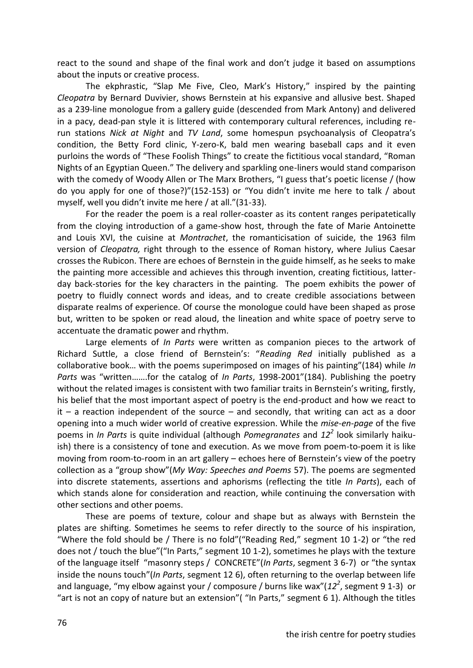react to the sound and shape of the final work and don't judge it based on assumptions about the inputs or creative process.

The ekphrastic, "Slap Me Five, Cleo, Mark's History," inspired by the painting *Cleopatra* by Bernard Duvivier, shows Bernstein at his expansive and allusive best. Shaped as a 239-line monologue from a gallery guide (descended from Mark Antony) and delivered in a pacy, dead-pan style it is littered with contemporary cultural references, including rerun stations *Nick at Night* and *TV Land*, some homespun psychoanalysis of Cleopatra's condition, the Betty Ford clinic, Y-zero-K, bald men wearing baseball caps and it even purloins the words of "These Foolish Things" to create the fictitious vocal standard, "Roman Nights of an Egyptian Queen." The delivery and sparkling one-liners would stand comparison with the comedy of Woody Allen or The Marx Brothers, "I guess that's poetic license / (how do you apply for one of those?)"(152-153) or "You didn't invite me here to talk / about myself, well you didn't invite me here / at all."(31-33).

For the reader the poem is a real roller-coaster as its content ranges peripatetically from the cloying introduction of a game-show host, through the fate of Marie Antoinette and Louis XVI, the cuisine at *Montrachet*, the romanticisation of suicide, the 1963 film version of *Cleopatra,* right through to the essence of Roman history, where Julius Caesar crosses the Rubicon. There are echoes of Bernstein in the guide himself, as he seeks to make the painting more accessible and achieves this through invention, creating fictitious, latterday back-stories for the key characters in the painting. The poem exhibits the power of poetry to fluidly connect words and ideas, and to create credible associations between disparate realms of experience. Of course the monologue could have been shaped as prose but, written to be spoken or read aloud, the lineation and white space of poetry serve to accentuate the dramatic power and rhythm.

Large elements of *In Parts* were written as companion pieces to the artwork of Richard Suttle, a close friend of Bernstein's: "*Reading Red* initially published as a collaborative book… with the poems superimposed on images of his painting"(184) while *In Parts* was "written…….for the catalog of *In Parts*, 1998-2001"(184). Publishing the poetry without the related images is consistent with two familiar traits in Bernstein's writing, firstly, his belief that the most important aspect of poetry is the end-product and how we react to  $it - a$  reaction independent of the source  $-$  and secondly, that writing can act as a door opening into a much wider world of creative expression. While the *mise-en-page* of the five poems in *In Parts* is quite individual (although *Pomegranates* and *12<sup>2</sup>* look similarly haikuish) there is a consistency of tone and execution. As we move from poem-to-poem it is like moving from room-to-room in an art gallery – echoes here of Bernstein's view of the poetry collection as a "group show"(*My Way: Speeches and Poems* 57). The poems are segmented into discrete statements, assertions and aphorisms (reflecting the title *In Parts*), each of which stands alone for consideration and reaction, while continuing the conversation with other sections and other poems.

These are poems of texture, colour and shape but as always with Bernstein the plates are shifting. Sometimes he seems to refer directly to the source of his inspiration, "Where the fold should be / There is no fold"("Reading Red," segment 10 1-2) or "the red does not / touch the blue"("In Parts," segment 10 1-2), sometimes he plays with the texture of the language itself "masonry steps / CONCRETE"(*In Parts*, segment 3 6-7) or "the syntax inside the nouns touch"(*In Parts*, segment 12 6), often returning to the overlap between life and language, "my elbow against your / composure / burns like wax"(12<sup>2</sup>, segment 9 1-3) or "art is not an copy of nature but an extension"( "In Parts," segment 6 1). Although the titles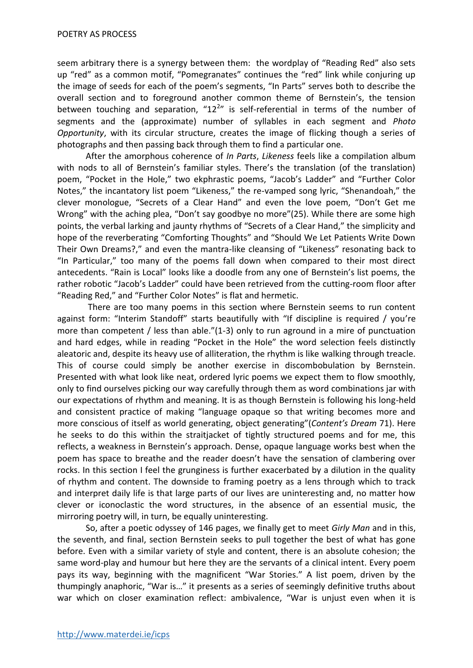seem arbitrary there is a synergy between them: the wordplay of "Reading Red" also sets up "red" as a common motif, "Pomegranates" continues the "red" link while conjuring up the image of seeds for each of the poem's segments, "In Parts" serves both to describe the overall section and to foreground another common theme of Bernstein's, the tension between touching and separation, " $12^{2n}$  is self-referential in terms of the number of segments and the (approximate) number of syllables in each segment and *Photo Opportunity*, with its circular structure, creates the image of flicking though a series of photographs and then passing back through them to find a particular one.

After the amorphous coherence of *In Parts*, *Likeness* feels like a compilation album with nods to all of Bernstein's familiar styles. There's the translation (of the translation) poem, "Pocket in the Hole," two ekphrastic poems, "Jacob's Ladder" and "Further Color Notes," the incantatory list poem "Likeness," the re-vamped song lyric, "Shenandoah," the clever monologue, "Secrets of a Clear Hand" and even the love poem, "Don't Get me Wrong" with the aching plea, "Don't say goodbye no more"(25). While there are some high points, the verbal larking and jaunty rhythms of "Secrets of a Clear Hand," the simplicity and hope of the reverberating "Comforting Thoughts" and "Should We Let Patients Write Down Their Own Dreams?," and even the mantra-like cleansing of "Likeness" resonating back to "In Particular," too many of the poems fall down when compared to their most direct antecedents. "Rain is Local" looks like a doodle from any one of Bernstein's list poems, the rather robotic "Jacob's Ladder" could have been retrieved from the cutting-room floor after "Reading Red," and "Further Color Notes" is flat and hermetic.

There are too many poems in this section where Bernstein seems to run content against form: "Interim Standoff" starts beautifully with "If discipline is required / you're more than competent / less than able."(1-3) only to run aground in a mire of punctuation and hard edges, while in reading "Pocket in the Hole" the word selection feels distinctly aleatoric and, despite its heavy use of alliteration, the rhythm is like walking through treacle. This of course could simply be another exercise in discombobulation by Bernstein. Presented with what look like neat, ordered lyric poems we expect them to flow smoothly, only to find ourselves picking our way carefully through them as word combinations jar with our expectations of rhythm and meaning. It is as though Bernstein is following his long-held and consistent practice of making "language opaque so that writing becomes more and more conscious of itself as world generating, object generating"(*Content's Dream* 71). Here he seeks to do this within the straitjacket of tightly structured poems and for me, this reflects, a weakness in Bernstein's approach. Dense, opaque language works best when the poem has space to breathe and the reader doesn't have the sensation of clambering over rocks. In this section I feel the grunginess is further exacerbated by a dilution in the quality of rhythm and content. The downside to framing poetry as a lens through which to track and interpret daily life is that large parts of our lives are uninteresting and, no matter how clever or iconoclastic the word structures, in the absence of an essential music, the mirroring poetry will, in turn, be equally uninteresting.

So, after a poetic odyssey of 146 pages, we finally get to meet *Girly Man* and in this, the seventh, and final, section Bernstein seeks to pull together the best of what has gone before. Even with a similar variety of style and content, there is an absolute cohesion; the same word-play and humour but here they are the servants of a clinical intent. Every poem pays its way, beginning with the magnificent "War Stories." A list poem, driven by the thumpingly anaphoric, "War is…" it presents as a series of seemingly definitive truths about war which on closer examination reflect: ambivalence, "War is unjust even when it is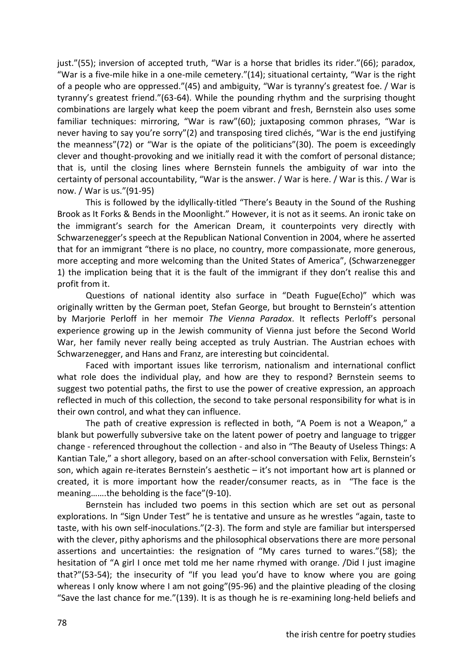just."(55); inversion of accepted truth, "War is a horse that bridles its rider."(66); paradox, "War is a five-mile hike in a one-mile cemetery."(14); situational certainty, "War is the right of a people who are oppressed."(45) and ambiguity, "War is tyranny's greatest foe. / War is tyranny's greatest friend."(63-64). While the pounding rhythm and the surprising thought combinations are largely what keep the poem vibrant and fresh, Bernstein also uses some familiar techniques: mirroring, "War is raw"(60); juxtaposing common phrases, "War is never having to say you're sorry"(2) and transposing tired clichés, "War is the end justifying the meanness"(72) or "War is the opiate of the politicians"(30). The poem is exceedingly clever and thought-provoking and we initially read it with the comfort of personal distance; that is, until the closing lines where Bernstein funnels the ambiguity of war into the certainty of personal accountability, "War is the answer. / War is here. / War is this. / War is now. / War is us."(91-95)

This is followed by the idyllically-titled "There's Beauty in the Sound of the Rushing Brook as It Forks & Bends in the Moonlight." However, it is not as it seems. An ironic take on the immigrant's search for the American Dream, it counterpoints very directly with Schwarzenegger's speech at the Republican National Convention in 2004, where he asserted that for an immigrant "there is no place, no country, more compassionate, more generous, more accepting and more welcoming than the United States of America", (Schwarzenegger 1) the implication being that it is the fault of the immigrant if they don't realise this and profit from it.

Questions of national identity also surface in "Death Fugue(Echo)" which was originally written by the German poet, Stefan George, but brought to Bernstein's attention by Marjorie Perloff in her memoir *The Vienna Paradox*. It reflects Perloff's personal experience growing up in the Jewish community of Vienna just before the Second World War, her family never really being accepted as truly Austrian. The Austrian echoes with Schwarzenegger, and Hans and Franz, are interesting but coincidental.

Faced with important issues like terrorism, nationalism and international conflict what role does the individual play, and how are they to respond? Bernstein seems to suggest two potential paths, the first to use the power of creative expression, an approach reflected in much of this collection, the second to take personal responsibility for what is in their own control, and what they can influence.

The path of creative expression is reflected in both, "A Poem is not a Weapon," a blank but powerfully subversive take on the latent power of poetry and language to trigger change - referenced throughout the collection - and also in "The Beauty of Useless Things: A Kantian Tale," a short allegory, based on an after-school conversation with Felix, Bernstein's son, which again re-iterates Bernstein's aesthetic – it's not important how art is planned or created, it is more important how the reader/consumer reacts, as in "The face is the meaning…….the beholding is the face"(9-10).

Bernstein has included two poems in this section which are set out as personal explorations. In "Sign Under Test" he is tentative and unsure as he wrestles "again, taste to taste, with his own self-inoculations."(2-3). The form and style are familiar but interspersed with the clever, pithy aphorisms and the philosophical observations there are more personal assertions and uncertainties: the resignation of "My cares turned to wares."(58); the hesitation of "A girl I once met told me her name rhymed with orange. /Did I just imagine that?"(53-54); the insecurity of "If you lead you'd have to know where you are going whereas I only know where I am not going"(95-96) and the plaintive pleading of the closing "Save the last chance for me."(139). It is as though he is re-examining long-held beliefs and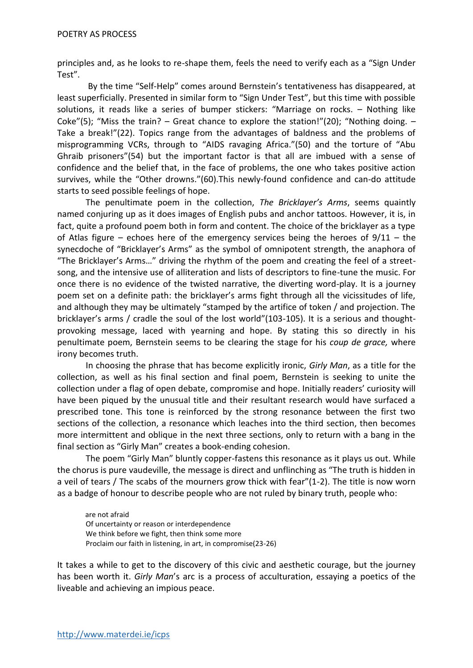principles and, as he looks to re-shape them, feels the need to verify each as a "Sign Under Test".

By the time "Self-Help" comes around Bernstein's tentativeness has disappeared, at least superficially. Presented in similar form to "Sign Under Test", but this time with possible solutions, it reads like a series of bumper stickers: "Marriage on rocks. – Nothing like Coke"(5); "Miss the train? – Great chance to explore the station!"(20); "Nothing doing. – Take a break!"(22). Topics range from the advantages of baldness and the problems of misprogramming VCRs, through to "AIDS ravaging Africa."(50) and the torture of "Abu Ghraib prisoners"(54) but the important factor is that all are imbued with a sense of confidence and the belief that, in the face of problems, the one who takes positive action survives, while the "Other drowns."(60).This newly-found confidence and can-do attitude starts to seed possible feelings of hope.

The penultimate poem in the collection, *The Bricklayer's Arms*, seems quaintly named conjuring up as it does images of English pubs and anchor tattoos. However, it is, in fact, quite a profound poem both in form and content. The choice of the bricklayer as a type of Atlas figure – echoes here of the emergency services being the heroes of  $9/11$  – the synecdoche of "Bricklayer's Arms" as the symbol of omnipotent strength, the anaphora of "The Bricklayer's Arms…" driving the rhythm of the poem and creating the feel of a streetsong, and the intensive use of alliteration and lists of descriptors to fine-tune the music. For once there is no evidence of the twisted narrative, the diverting word-play. It is a journey poem set on a definite path: the bricklayer's arms fight through all the vicissitudes of life, and although they may be ultimately "stamped by the artifice of token / and projection. The bricklayer's arms / cradle the soul of the lost world"(103-105). It is a serious and thoughtprovoking message, laced with yearning and hope. By stating this so directly in his penultimate poem, Bernstein seems to be clearing the stage for his *coup de grace,* where irony becomes truth.

In choosing the phrase that has become explicitly ironic, *Girly Man*, as a title for the collection, as well as his final section and final poem, Bernstein is seeking to unite the collection under a flag of open debate, compromise and hope. Initially readers' curiosity will have been piqued by the unusual title and their resultant research would have surfaced a prescribed tone. This tone is reinforced by the strong resonance between the first two sections of the collection, a resonance which leaches into the third section, then becomes more intermittent and oblique in the next three sections, only to return with a bang in the final section as "Girly Man" creates a book-ending cohesion.

The poem "Girly Man" bluntly copper-fastens this resonance as it plays us out. While the chorus is pure vaudeville, the message is direct and unflinching as "The truth is hidden in a veil of tears / The scabs of the mourners grow thick with fear"(1-2). The title is now worn as a badge of honour to describe people who are not ruled by binary truth, people who:

are not afraid Of uncertainty or reason or interdependence We think before we fight, then think some more Proclaim our faith in listening, in art, in compromise(23-26)

It takes a while to get to the discovery of this civic and aesthetic courage, but the journey has been worth it. *Girly Man*'s arc is a process of acculturation, essaying a poetics of the liveable and achieving an impious peace.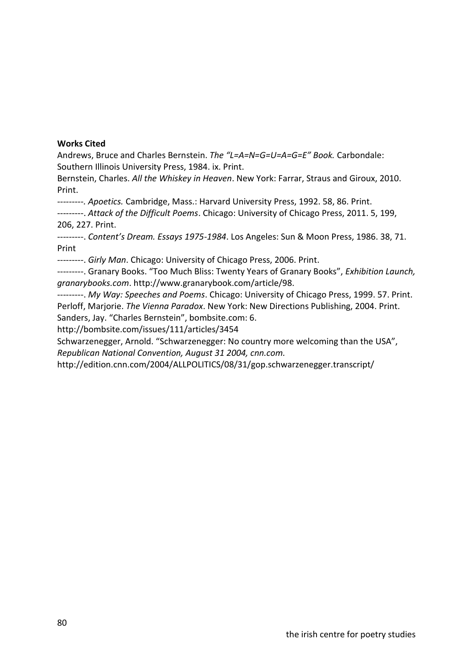#### **Works Cited**

Andrews, Bruce and Charles Bernstein. *The "L=A=N=G=U=A=G=E" Book.* Carbondale: Southern Illinois University Press, 1984. ix. Print.

Bernstein, Charles. *All the Whiskey in Heaven*. New York: Farrar, Straus and Giroux, 2010. Print.

*---------. Apoetics.* Cambridge, Mass.: Harvard University Press, 1992. 58, 86. Print.

---------. *Attack of the Difficult Poems*. Chicago: University of Chicago Press, 2011. 5, 199, 206, 227. Print.

---------. *Content's Dream. Essays 1975-1984*. Los Angeles: Sun & Moon Press, 1986. 38, 71. Print

---------. *Girly Man*. Chicago: University of Chicago Press, 2006. Print.

---------. Granary Books. "Too Much Bliss: Twenty Years of Granary Books", *Exhibition Launch, granarybooks.com*. http://www.granarybook.com/article/98.

---------. *My Way: Speeches and Poems*. Chicago: University of Chicago Press, 1999. 57. Print. Perloff, Marjorie. *The Vienna Paradox*. New York: New Directions Publishing, 2004. Print. Sanders, Jay. "Charles Bernstein", bombsite.com: 6.

http://bombsite.com/issues/111/articles/3454

Schwarzenegger, Arnold. "Schwarzenegger: No country more welcoming than the USA", *Republican National Convention, August 31 2004, cnn.com.*

http://edition.cnn.com/2004/ALLPOLITICS/08/31/gop.schwarzenegger.transcript/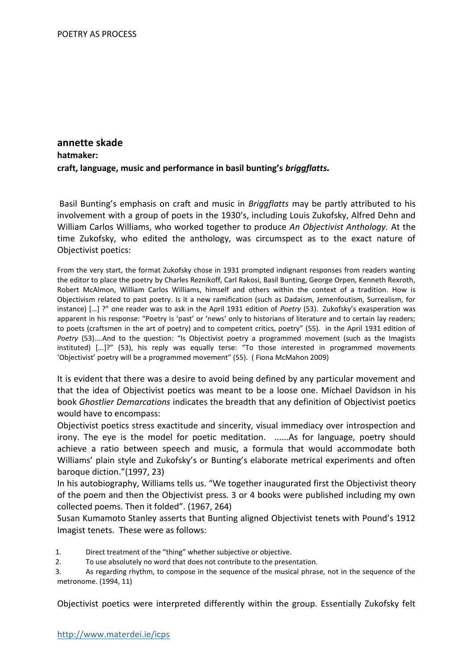#### **annette skade hatmaker: craft, language, music and performance in basil bunting's** *briggflatts.*

Basil Bunting's emphasis on craft and music in *Briggflatts* may be partly attributed to his involvement with a group of poets in the 1930's, including Louis Zukofsky, Alfred Dehn and William Carlos Williams, who worked together to produce *An Objectivist Anthology.* At the time Zukofsky, who edited the anthology, was circumspect as to the exact nature of Objectivist poetics:

From the very start, the format Zukofsky chose in 1931 prompted indignant responses from readers wanting the editor to place the poetry by Charles Reznikoff, Carl Rakosi, Basil Bunting, George Orpen, Kenneth Rexroth, Robert McAlmon, William Carlos Williams, himself and others within the context of a tradition. How is Objectivism related to past poetry. Is it a new ramification (such as Dadaism, Jemenfoutism, Surrealism, for instance) […] ?" one reader was to ask in the April 1931 edition of *Poetry* (53). Zukofsky's exasperation was apparent in his response: "Poetry is 'past' or 'news' only to historians of literature and to certain lay readers; to poets (craftsmen in the art of poetry) and to competent critics, poetry" (55). in the April 1931 edition of *Poetry* (53)....And to the question: "Is Objectivist poetry a programmed movement (such as the Imagists instituted) [...]?" (53), his reply was equally terse: "To those interested in programmed movements 'Objectivist' poetry will be a programmed movement" (55). ( Fiona McMahon 2009)

It is evident that there was a desire to avoid being defined by any particular movement and that the idea of Objectivist poetics was meant to be a loose one. Michael Davidson in his book *Ghostlier Demarcations* indicates the breadth that any definition of Objectivist poetics would have to encompass:

Objectivist poetics stress exactitude and sincerity, visual immediacy over introspection and irony. The eye is the model for poetic meditation. ......As for language, poetry should achieve a ratio between speech and music, a formula that would accommodate both Williams' plain style and Zukofsky's or Bunting's elaborate metrical experiments and often baroque diction."(1997, 23)

In his autobiography, Williams tells us. "We together inaugurated first the Objectivist theory of the poem and then the Objectivist press. 3 or 4 books were published including my own collected poems. Then it folded". (1967, 264)

Susan Kumamoto Stanley asserts that Bunting aligned Objectivist tenets with Pound's 1912 Imagist tenets. These were as follows:

1. Direct treatment of the "thing" whether subjective or objective.

2. To use absolutely no word that does not contribute to the presentation.

3. As regarding rhythm, to compose in the sequence of the musical phrase, not in the sequence of the metronome. (1994, 11)

Objectivist poetics were interpreted differently within the group. Essentially Zukofsky felt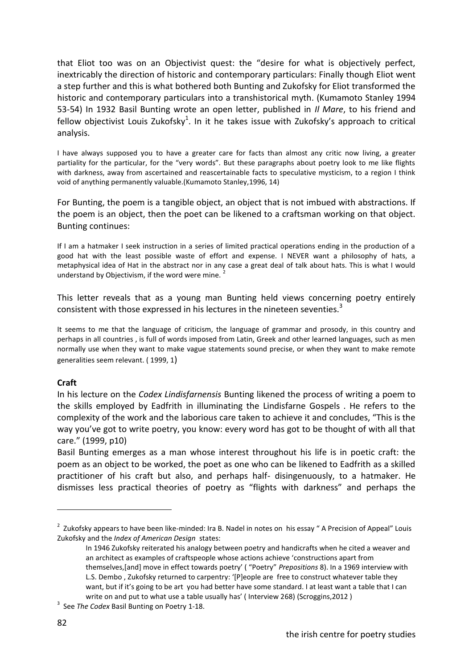that Eliot too was on an Objectivist quest: the "desire for what is objectively perfect, inextricably the direction of historic and contemporary particulars: Finally though Eliot went a step further and this is what bothered both Bunting and Zukofsky for Eliot transformed the historic and contemporary particulars into a transhistorical myth. (Kumamoto Stanley 1994 53-54) In 1932 Basil Bunting wrote an open letter, published in *Il Mare*, to his friend and fellow objectivist Louis Zukofsky $^1$ . In it he takes issue with Zukofsky's approach to critical analysis.

I have always supposed you to have a greater care for facts than almost any critic now living, a greater partiality for the particular, for the "very words". But these paragraphs about poetry look to me like flights with darkness, away from ascertained and reascertainable facts to speculative mysticism, to a region I think void of anything permanently valuable.(Kumamoto Stanley,1996, 14)

For Bunting, the poem is a tangible object, an object that is not imbued with abstractions. If the poem is an object, then the poet can be likened to a craftsman working on that object. Bunting continues:

If I am a hatmaker I seek instruction in a series of limited practical operations ending in the production of a good hat with the least possible waste of effort and expense. I NEVER want a philosophy of hats, a metaphysical idea of Hat in the abstract nor in any case a great deal of talk about hats. This is what I would understand by Objectivism, if the word were mine. <sup>2</sup>

This letter reveals that as a young man Bunting held views concerning poetry entirely consistent with those expressed in his lectures in the nineteen seventies.<sup>3</sup>

It seems to me that the language of criticism, the language of grammar and prosody, in this country and perhaps in all countries , is full of words imposed from Latin, Greek and other learned languages, such as men normally use when they want to make vague statements sound precise, or when they want to make remote generalities seem relevant. ( 1999, 1)

#### **Craft**

In his lecture on the *Codex Lindisfarnensis* Bunting likened the process of writing a poem to the skills employed by Eadfrith in illuminating the Lindisfarne Gospels . He refers to the complexity of the work and the laborious care taken to achieve it and concludes, "This is the way you've got to write poetry, you know: every word has got to be thought of with all that care." (1999, p10)

Basil Bunting emerges as a man whose interest throughout his life is in poetic craft: the poem as an object to be worked, the poet as one who can be likened to Eadfrith as a skilled practitioner of his craft but also, and perhaps half- disingenuously, to a hatmaker. He dismisses less practical theories of poetry as "flights with darkness" and perhaps the

<sup>&</sup>lt;sup>2</sup> Zukofsky appears to have been like-minded: Ira B. Nadel in notes on his essay "A Precision of Appeal" Louis Zukofsky and the *Index of American Design* states:

In 1946 Zukofsky reiterated his analogy between poetry and handicrafts when he cited a weaver and an architect as examples of craftspeople whose actions achieve 'constructions apart from themselves,[and] move in effect towards poetry' ( "Poetry" *Prepositions* 8). In a 1969 interview with L.S. Dembo , Zukofsky returned to carpentry: '[P]eople are free to construct whatever table they want, but if it's going to be art you had better have some standard. I at least want a table that I can write on and put to what use a table usually has' ( Interview 268) (Scroggins,2012 )

<sup>3</sup> See *The Codex* Basil Bunting on Poetry 1-18.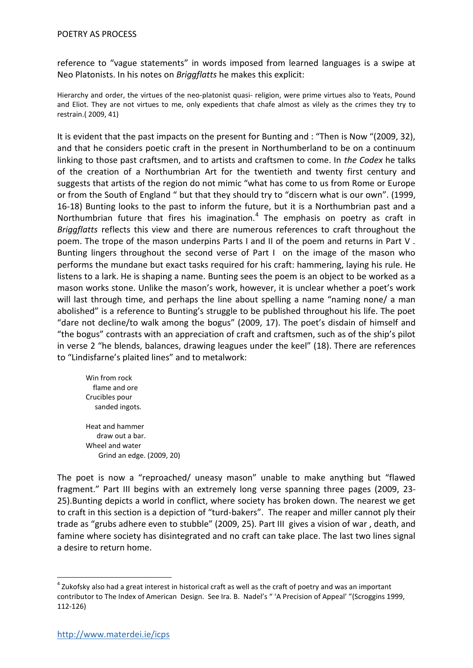reference to "vague statements" in words imposed from learned languages is a swipe at Neo Platonists. In his notes on *Briggflatts* he makes this explicit:

Hierarchy and order, the virtues of the neo-platonist quasi- religion, were prime virtues also to Yeats, Pound and Eliot. They are not virtues to me, only expedients that chafe almost as vilely as the crimes they try to restrain.( 2009, 41)

It is evident that the past impacts on the present for Bunting and : "Then is Now "(2009, 32), and that he considers poetic craft in the present in Northumberland to be on a continuum linking to those past craftsmen, and to artists and craftsmen to come. In *the Codex* he talks of the creation of a Northumbrian Art for the twentieth and twenty first century and suggests that artists of the region do not mimic "what has come to us from Rome or Europe or from the South of England " but that they should try to "discern what is our own". (1999, 16-18) Bunting looks to the past to inform the future, but it is a Northumbrian past and a Northumbrian future that fires his imagination.<sup>4</sup> The emphasis on poetry as craft in *Briggflatts* reflects this view and there are numerous references to craft throughout the poem. The trope of the mason underpins Parts I and II of the poem and returns in Part V . Bunting lingers throughout the second verse of Part I on the image of the mason who performs the mundane but exact tasks required for his craft: hammering, laying his rule. He listens to a lark. He is shaping a name. Bunting sees the poem is an object to be worked as a mason works stone. Unlike the mason's work, however, it is unclear whether a poet's work will last through time, and perhaps the line about spelling a name "naming none/ a man abolished" is a reference to Bunting's struggle to be published throughout his life. The poet "dare not decline/to walk among the bogus" (2009, 17). The poet's disdain of himself and "the bogus" contrasts with an appreciation of craft and craftsmen, such as of the ship's pilot in verse 2 "he blends, balances, drawing leagues under the keel" (18). There are references to "Lindisfarne's plaited lines" and to metalwork:

Win from rock flame and ore Crucibles pour sanded ingots. Heat and hammer draw out a bar. Wheel and water Grind an edge. (2009, 20)

The poet is now a "reproached/ uneasy mason" unable to make anything but "flawed fragment." Part III begins with an extremely long verse spanning three pages (2009, 23- 25).Bunting depicts a world in conflict, where society has broken down. The nearest we get to craft in this section is a depiction of "turd-bakers". The reaper and miller cannot ply their trade as "grubs adhere even to stubble" (2009, 25). Part III gives a vision of war , death, and famine where society has disintegrated and no craft can take place. The last two lines signal a desire to return home.

 $^4$  Zukofsky also had a great interest in historical craft as well as the craft of poetry and was an important contributor to The Index of American Design. See Ira. B. Nadel's " 'A Precision of Appeal' "(Scroggins 1999, 112-126)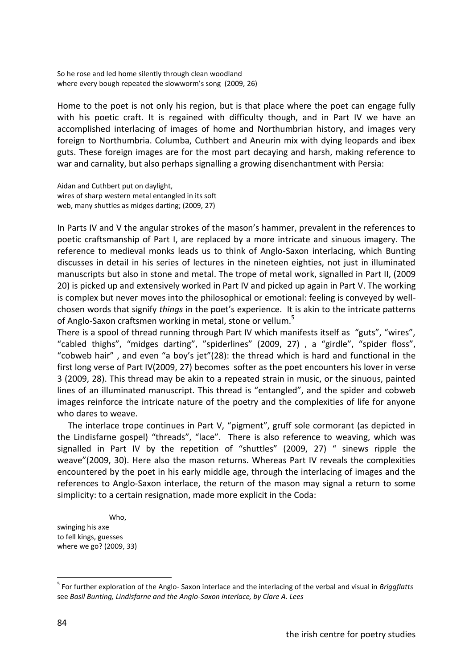So he rose and led home silently through clean woodland where every bough repeated the slowworm's song (2009, 26)

Home to the poet is not only his region, but is that place where the poet can engage fully with his poetic craft. It is regained with difficulty though, and in Part IV we have an accomplished interlacing of images of home and Northumbrian history, and images very foreign to Northumbria. Columba, Cuthbert and Aneurin mix with dying leopards and ibex guts. These foreign images are for the most part decaying and harsh, making reference to war and carnality, but also perhaps signalling a growing disenchantment with Persia:

Aidan and Cuthbert put on daylight, wires of sharp western metal entangled in its soft web, many shuttles as midges darting; (2009, 27)

In Parts IV and V the angular strokes of the mason's hammer, prevalent in the references to poetic craftsmanship of Part I, are replaced by a more intricate and sinuous imagery. The reference to medieval monks leads us to think of Anglo-Saxon interlacing, which Bunting discusses in detail in his series of lectures in the nineteen eighties, not just in illuminated manuscripts but also in stone and metal. The trope of metal work, signalled in Part II, (2009 20) is picked up and extensively worked in Part IV and picked up again in Part V. The working is complex but never moves into the philosophical or emotional: feeling is conveyed by wellchosen words that signify *things* in the poet's experience. It is akin to the intricate patterns of Anglo-Saxon craftsmen working in metal, stone or vellum.<sup>5</sup>

There is a spool of thread running through Part IV which manifests itself as "guts", "wires", "cabled thighs", "midges darting", "spiderlines" (2009, 27) , a "girdle", "spider floss", "cobweb hair" , and even "a boy's jet"(28): the thread which is hard and functional in the first long verse of Part IV(2009, 27) becomes softer as the poet encounters his lover in verse 3 (2009, 28). This thread may be akin to a repeated strain in music, or the sinuous, painted lines of an illuminated manuscript. This thread is "entangled", and the spider and cobweb images reinforce the intricate nature of the poetry and the complexities of life for anyone who dares to weave.

 The interlace trope continues in Part V, "pigment", gruff sole cormorant (as depicted in the Lindisfarne gospel) "threads", "lace". There is also reference to weaving, which was signalled in Part IV by the repetition of "shuttles" (2009, 27) " sinews ripple the weave"(2009, 30). Here also the mason returns. Whereas Part IV reveals the complexities encountered by the poet in his early middle age, through the interlacing of images and the references to Anglo-Saxon interlace, the return of the mason may signal a return to some simplicity: to a certain resignation, made more explicit in the Coda:

 Who, swinging his axe to fell kings, guesses where we go? (2009, 33)

<sup>5</sup> For further exploration of the Anglo- Saxon interlace and the interlacing of the verbal and visual in *Briggflatts*  see *Basil Bunting, Lindisfarne and the Anglo-Saxon interlace, by Clare A. Lees*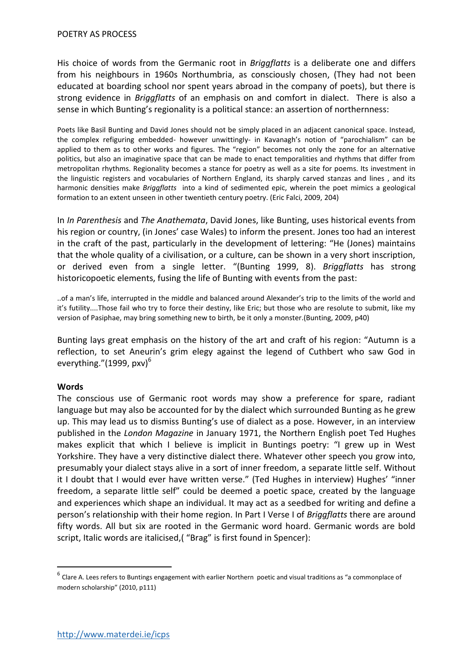His choice of words from the Germanic root in *Briggflatts* is a deliberate one and differs from his neighbours in 1960s Northumbria, as consciously chosen, (They had not been educated at boarding school nor spent years abroad in the company of poets), but there is strong evidence in *Briggflatts* of an emphasis on and comfort in dialect. There is also a sense in which Bunting's regionality is a political stance: an assertion of northernness:

Poets like Basil Bunting and David Jones should not be simply placed in an adjacent canonical space. Instead, the complex refiguring embedded- however unwittingly- in Kavanagh's notion of "parochialism" can be applied to them as to other works and figures. The "region" becomes not only the zone for an alternative politics, but also an imaginative space that can be made to enact temporalities and rhythms that differ from metropolitan rhythms. Regionality becomes a stance for poetry as well as a site for poems. Its investment in the linguistic registers and vocabularies of Northern England, its sharply carved stanzas and lines , and its harmonic densities make *Briggflatts* into a kind of sedimented epic, wherein the poet mimics a geological formation to an extent unseen in other twentieth century poetry. (Eric Falci, 2009, 204)

In *In Parenthesis* and *The Anathemata*, David Jones, like Bunting, uses historical events from his region or country, (in Jones' case Wales) to inform the present. Jones too had an interest in the craft of the past, particularly in the development of lettering: "He (Jones) maintains that the whole quality of a civilisation, or a culture, can be shown in a very short inscription, or derived even from a single letter. "(Bunting 1999, 8). *Briggflatts* has strong historicopoetic elements, fusing the life of Bunting with events from the past:

..of a man's life, interrupted in the middle and balanced around Alexander's trip to the limits of the world and it's futility....Those fail who try to force their destiny, like Eric; but those who are resolute to submit, like my version of Pasiphae, may bring something new to birth, be it only a monster.(Bunting, 2009, p40)

Bunting lays great emphasis on the history of the art and craft of his region: "Autumn is a reflection, to set Aneurin's grim elegy against the legend of Cuthbert who saw God in everything." $(1999, pxy)^6$ 

#### **Words**

1

The conscious use of Germanic root words may show a preference for spare, radiant language but may also be accounted for by the dialect which surrounded Bunting as he grew up. This may lead us to dismiss Bunting's use of dialect as a pose. However, in an interview published in the *London Magazine* in January 1971, the Northern English poet Ted Hughes makes explicit that which I believe is implicit in Buntings poetry: "I grew up in West Yorkshire. They have a very distinctive dialect there. Whatever other speech you grow into, presumably your dialect stays alive in a sort of inner freedom, a separate little self. Without it I doubt that I would ever have written verse." (Ted Hughes in interview) Hughes' "inner freedom, a separate little self" could be deemed a poetic space, created by the language and experiences which shape an individual. It may act as a seedbed for writing and define a person's relationship with their home region. In Part I Verse I of *Briggflatts* there are around fifty words. All but six are rooted in the Germanic word hoard. Germanic words are bold script, Italic words are italicised,( "Brag" is first found in Spencer):

 $^6$  Clare A. Lees refers to Buntings engagement with earlier Northern poetic and visual traditions as "a commonplace of modern scholarship" (2010, p111)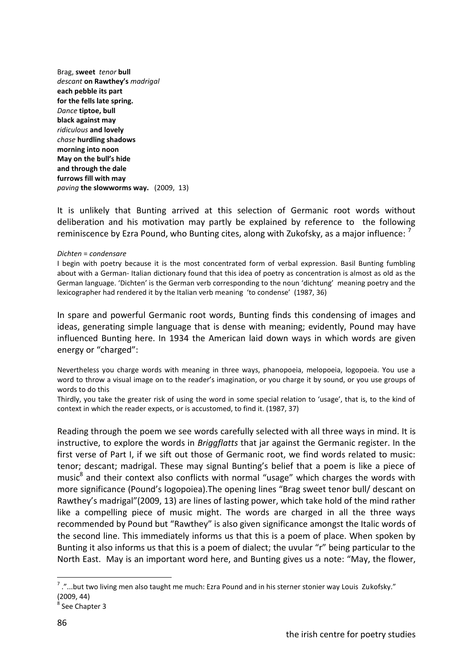Brag, **sweet** *tenor* **bull** *descant* **on Rawthey's** *madrigal* **each pebble its part for the fells late spring.** *Dance* **tiptoe, bull black against may** *ridiculous* **and lovely** *chase* **hurdling shadows morning into noon May on the bull's hide and through the dale furrows fill with may** *paving* **the slowworms way.** (2009, 13)

It is unlikely that Bunting arrived at this selection of Germanic root words without deliberation and his motivation may partly be explained by reference to the following reminiscence by Ezra Pound, who Bunting cites, along with Zukofsky, as a major influence:  $^7$ 

#### *Dichten* = *condensare*

I begin with poetry because it is the most concentrated form of verbal expression. Basil Bunting fumbling about with a German- Italian dictionary found that this idea of poetry as concentration is almost as old as the German language. 'Dichten' is the German verb corresponding to the noun 'dichtung' meaning poetry and the lexicographer had rendered it by the Italian verb meaning 'to condense' (1987, 36)

In spare and powerful Germanic root words, Bunting finds this condensing of images and ideas, generating simple language that is dense with meaning; evidently, Pound may have influenced Bunting here. In 1934 the American laid down ways in which words are given energy or "charged":

Nevertheless you charge words with meaning in three ways, phanopoeia, melopoeia, logopoeia. You use a word to throw a visual image on to the reader's imagination, or you charge it by sound, or you use groups of words to do this

Thirdly, you take the greater risk of using the word in some special relation to 'usage', that is, to the kind of context in which the reader expects, or is accustomed, to find it. (1987, 37)

Reading through the poem we see words carefully selected with all three ways in mind. It is instructive, to explore the words in *Briggflatts* that jar against the Germanic register. In the first verse of Part I, if we sift out those of Germanic root, we find words related to music: tenor; descant; madrigal. These may signal Bunting's belief that a poem is like a piece of music<sup>8</sup> and their context also conflicts with normal "usage" which charges the words with more significance (Pound's logopoiea).The opening lines "Brag sweet tenor bull/ descant on Rawthey's madrigal"(2009, 13) are lines of lasting power, which take hold of the mind rather like a compelling piece of music might. The words are charged in all the three ways recommended by Pound but "Rawthey" is also given significance amongst the Italic words of the second line. This immediately informs us that this is a poem of place. When spoken by Bunting it also informs us that this is a poem of dialect; the uvular "r" being particular to the North East. May is an important word here, and Bunting gives us a note: "May, the flower,

<sup>&</sup>quot;...but two living men also taught me much: Ezra Pound and in his sterner stonier way Louis Zukofsky." (2009, 44)

<sup>8</sup> See Chapter 3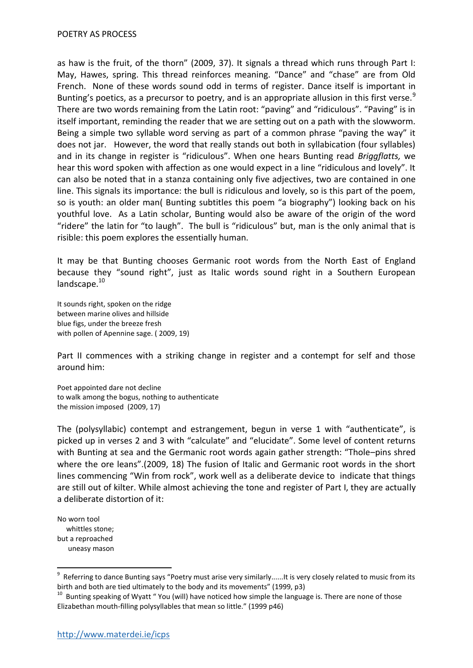as haw is the fruit, of the thorn" (2009, 37). It signals a thread which runs through Part I: May, Hawes, spring. This thread reinforces meaning. "Dance" and "chase" are from Old French. None of these words sound odd in terms of register. Dance itself is important in Bunting's poetics, as a precursor to poetry, and is an appropriate allusion in this first verse.<sup>9</sup> There are two words remaining from the Latin root: "paving" and "ridiculous". "Paving" is in itself important, reminding the reader that we are setting out on a path with the slowworm. Being a simple two syllable word serving as part of a common phrase "paving the way" it does not jar. However, the word that really stands out both in syllabication (four syllables) and in its change in register is "ridiculous". When one hears Bunting read *Briggflatts,* we hear this word spoken with affection as one would expect in a line "ridiculous and lovely". It can also be noted that in a stanza containing only five adjectives, two are contained in one line. This signals its importance: the bull is ridiculous and lovely, so is this part of the poem, so is youth: an older man( Bunting subtitles this poem "a biography") looking back on his youthful love. As a Latin scholar, Bunting would also be aware of the origin of the word "ridere" the latin for "to laugh". The bull is "ridiculous" but, man is the only animal that is risible: this poem explores the essentially human.

It may be that Bunting chooses Germanic root words from the North East of England because they "sound right", just as Italic words sound right in a Southern European landscape.<sup>10</sup>

It sounds right, spoken on the ridge between marine olives and hillside blue figs, under the breeze fresh with pollen of Apennine sage. ( 2009, 19)

Part II commences with a striking change in register and a contempt for self and those around him:

Poet appointed dare not decline to walk among the bogus, nothing to authenticate the mission imposed (2009, 17)

The (polysyllabic) contempt and estrangement, begun in verse 1 with "authenticate", is picked up in verses 2 and 3 with "calculate" and "elucidate". Some level of content returns with Bunting at sea and the Germanic root words again gather strength: "Thole–pins shred where the ore leans".(2009, 18) The fusion of Italic and Germanic root words in the short lines commencing "Win from rock", work well as a deliberate device to indicate that things are still out of kilter. While almost achieving the tone and register of Part I, they are actually a deliberate distortion of it:

No worn tool whittles stone; but a reproached uneasy mason

<sup>&</sup>lt;sup>9</sup> Referring to dance Bunting says "Poetry must arise very similarly......It is very closely related to music from its birth and both are tied ultimately to the body and its movements" (1999, p3)

<sup>&</sup>lt;sup>10</sup> Bunting speaking of Wyatt "You (will) have noticed how simple the language is. There are none of those Elizabethan mouth-filling polysyllables that mean so little." (1999 p46)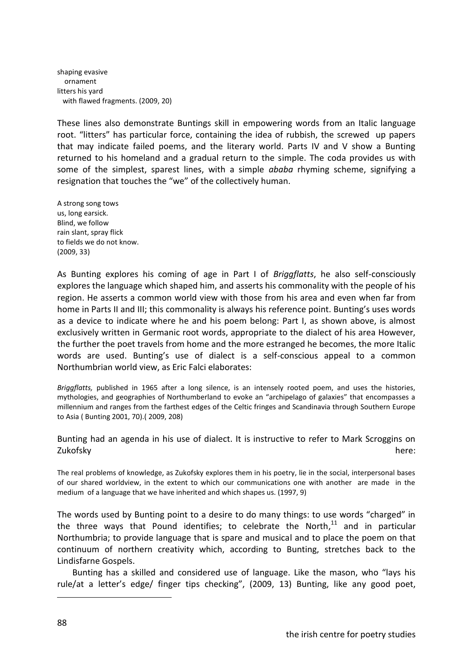shaping evasive ornament litters his yard with flawed fragments. (2009, 20)

These lines also demonstrate Buntings skill in empowering words from an Italic language root. "litters" has particular force, containing the idea of rubbish, the screwed up papers that may indicate failed poems, and the literary world. Parts IV and V show a Bunting returned to his homeland and a gradual return to the simple. The coda provides us with some of the simplest, sparest lines, with a simple *ababa* rhyming scheme, signifying a resignation that touches the "we" of the collectively human.

A strong song tows us, long earsick. Blind, we follow rain slant, spray flick to fields we do not know. (2009, 33)

As Bunting explores his coming of age in Part I of *Briggflatts*, he also self-consciously explores the language which shaped him, and asserts his commonality with the people of his region. He asserts a common world view with those from his area and even when far from home in Parts II and III; this commonality is always his reference point. Bunting's uses words as a device to indicate where he and his poem belong: Part I, as shown above, is almost exclusively written in Germanic root words, appropriate to the dialect of his area However, the further the poet travels from home and the more estranged he becomes, the more Italic words are used. Bunting's use of dialect is a self-conscious appeal to a common Northumbrian world view, as Eric Falci elaborates:

*Briggflatts,* published in 1965 after a long silence, is an intensely rooted poem, and uses the histories, mythologies, and geographies of Northumberland to evoke an "archipelago of galaxies" that encompasses a millennium and ranges from the farthest edges of the Celtic fringes and Scandinavia through Southern Europe to Asia ( Bunting 2001, 70).( 2009, 208)

Bunting had an agenda in his use of dialect. It is instructive to refer to Mark Scroggins on Zukofsky here:

The real problems of knowledge, as Zukofsky explores them in his poetry, lie in the social, interpersonal bases of our shared worldview, in the extent to which our communications one with another are made in the medium of a language that we have inherited and which shapes us. (1997, 9)

The words used by Bunting point to a desire to do many things: to use words "charged" in the three ways that Pound identifies; to celebrate the North,<sup>11</sup> and in particular Northumbria; to provide language that is spare and musical and to place the poem on that continuum of northern creativity which, according to Bunting, stretches back to the Lindisfarne Gospels.

 Bunting has a skilled and considered use of language. Like the mason, who "lays his rule/at a letter's edge/ finger tips checking", (2009, 13) Bunting, like any good poet,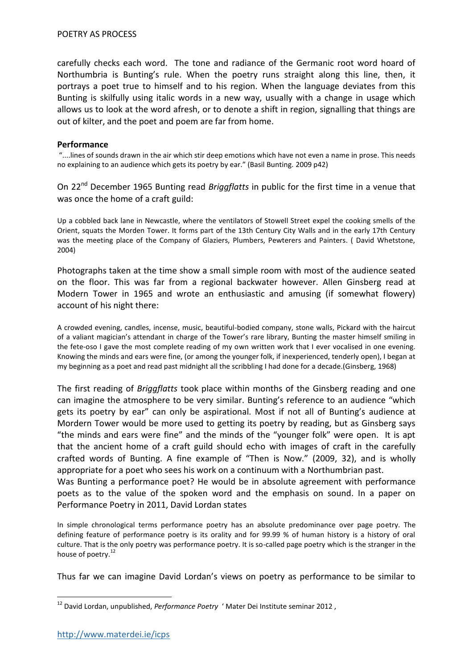carefully checks each word. The tone and radiance of the Germanic root word hoard of Northumbria is Bunting's rule. When the poetry runs straight along this line, then, it portrays a poet true to himself and to his region. When the language deviates from this Bunting is skilfully using italic words in a new way, usually with a change in usage which allows us to look at the word afresh, or to denote a shift in region, signalling that things are out of kilter, and the poet and poem are far from home.

#### **Performance**

"....lines of sounds drawn in the air which stir deep emotions which have not even a name in prose. This needs no explaining to an audience which gets its poetry by ear." (Basil Bunting. 2009 p42)

On 22nd December 1965 Bunting read *Briggflatts* in public for the first time in a venue that was once the home of a craft guild:

Up a cobbled back lane in Newcastle, where the ventilators of Stowell Street expel the cooking smells of the Orient, squats the Morden Tower. It forms part of the 13th Century City Walls and in the early 17th Century was the meeting place of the Company of Glaziers, Plumbers, Pewterers and Painters. ( David Whetstone, 2004)

Photographs taken at the time show a small simple room with most of the audience seated on the floor. This was far from a regional backwater however. Allen Ginsberg read at Modern Tower in 1965 and wrote an enthusiastic and amusing (if somewhat flowery) account of his night there:

A crowded evening, candles, incense, music, beautiful-bodied company, stone walls, Pickard with the haircut of a valiant magician's attendant in charge of the Tower's rare library, Bunting the master himself smiling in the fete-oso I gave the most complete reading of my own written work that I ever vocalised in one evening. Knowing the minds and ears were fine, (or among the younger folk, if inexperienced, tenderly open), I began at my beginning as a poet and read past midnight all the scribbling I had done for a decade.(Ginsberg, 1968)

The first reading of *Briggflatts* took place within months of the Ginsberg reading and one can imagine the atmosphere to be very similar. Bunting's reference to an audience "which gets its poetry by ear" can only be aspirational. Most if not all of Bunting's audience at Mordern Tower would be more used to getting its poetry by reading, but as Ginsberg says "the minds and ears were fine" and the minds of the "younger folk" were open. It is apt that the ancient home of a craft guild should echo with images of craft in the carefully crafted words of Bunting. A fine example of "Then is Now." (2009, 32), and is wholly appropriate for a poet who sees his work on a continuum with a Northumbrian past.

Was Bunting a performance poet? He would be in absolute agreement with performance poets as to the value of the spoken word and the emphasis on sound. In a paper on Performance Poetry in 2011, David Lordan states

In simple chronological terms performance poetry has an absolute predominance over page poetry. The defining feature of performance poetry is its orality and for 99.99 % of human history is a history of oral culture. That is the only poetry was performance poetry. It is so-called page poetry which is the stranger in the house of poetry.<sup>12</sup>

Thus far we can imagine David Lordan's views on poetry as performance to be similar to

<sup>12</sup> David Lordan, unpublished, *Performance Poetry* ' Mater Dei Institute seminar 2012 ,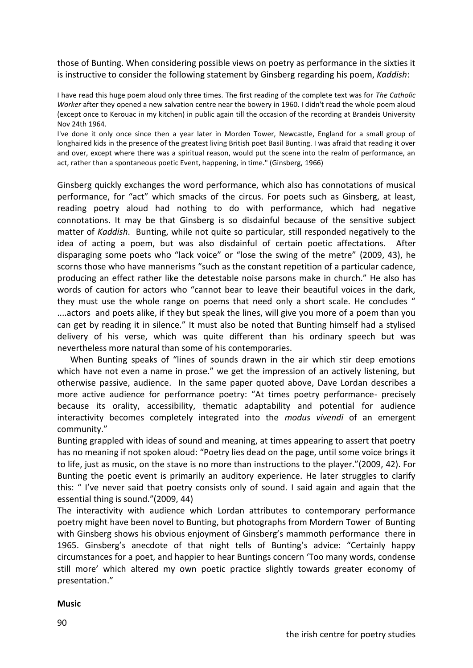those of Bunting. When considering possible views on poetry as performance in the sixties it is instructive to consider the following statement by Ginsberg regarding his poem, *Kaddish*:

I have read this huge poem aloud only three times. The first reading of the complete text was for *The Catholic Worker* after they opened a new salvation centre near the bowery in 1960. I didn't read the whole poem aloud (except once to Kerouac in my kitchen) in public again till the occasion of the recording at Brandeis University Nov 24th 1964.

I've done it only once since then a year later in Morden Tower, Newcastle, England for a small group of longhaired kids in the presence of the greatest living British poet Basil Bunting. I was afraid that reading it over and over, except where there was a spiritual reason, would put the scene into the realm of performance, an act, rather than a spontaneous poetic Event, happening, in time." (Ginsberg, 1966)

Ginsberg quickly exchanges the word performance, which also has connotations of musical performance, for "act" which smacks of the circus. For poets such as Ginsberg, at least, reading poetry aloud had nothing to do with performance, which had negative connotations. It may be that Ginsberg is so disdainful because of the sensitive subject matter of *Kaddish*. Bunting, while not quite so particular, still responded negatively to the idea of acting a poem, but was also disdainful of certain poetic affectations. After disparaging some poets who "lack voice" or "lose the swing of the metre" (2009, 43), he scorns those who have mannerisms "such as the constant repetition of a particular cadence, producing an effect rather like the detestable noise parsons make in church." He also has words of caution for actors who "cannot bear to leave their beautiful voices in the dark, they must use the whole range on poems that need only a short scale. He concludes " ....actors and poets alike, if they but speak the lines, will give you more of a poem than you can get by reading it in silence." It must also be noted that Bunting himself had a stylised delivery of his verse, which was quite different than his ordinary speech but was nevertheless more natural than some of his contemporaries.

 When Bunting speaks of "lines of sounds drawn in the air which stir deep emotions which have not even a name in prose." we get the impression of an actively listening, but otherwise passive, audience. In the same paper quoted above, Dave Lordan describes a more active audience for performance poetry: "At times poetry performance- precisely because its orality, accessibility, thematic adaptability and potential for audience interactivity becomes completely integrated into the *modus vivendi* of an emergent community."

Bunting grappled with ideas of sound and meaning, at times appearing to assert that poetry has no meaning if not spoken aloud: "Poetry lies dead on the page, until some voice brings it to life, just as music, on the stave is no more than instructions to the player."(2009, 42). For Bunting the poetic event is primarily an auditory experience. He later struggles to clarify this: " I've never said that poetry consists only of sound. I said again and again that the essential thing is sound."(2009, 44)

The interactivity with audience which Lordan attributes to contemporary performance poetry might have been novel to Bunting, but photographs from Mordern Tower of Bunting with Ginsberg shows his obvious enjoyment of Ginsberg's mammoth performance there in 1965. Ginsberg's anecdote of that night tells of Bunting's advice: "Certainly happy circumstances for a poet, and happier to hear Buntings concern 'Too many words, condense still more' which altered my own poetic practice slightly towards greater economy of presentation."

#### **Music**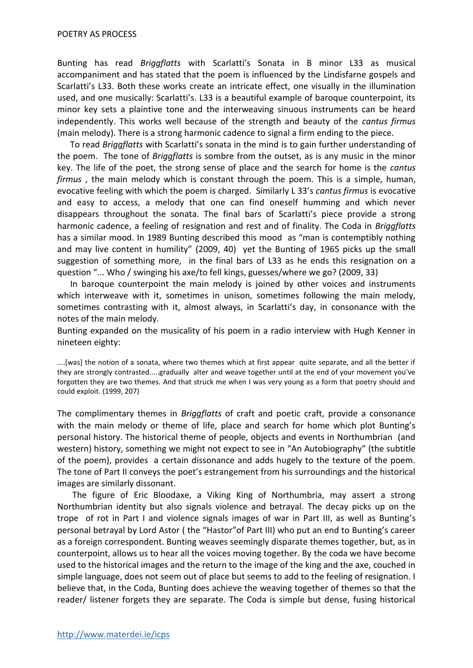#### POETRY AS PROCESS

Bunting has read *Briggflatts* with Scarlatti's Sonata in B minor L33 as musical accompaniment and has stated that the poem is influenced by the Lindisfarne gospels and Scarlatti's L33. Both these works create an intricate effect, one visually in the illumination used, and one musically: Scarlatti's. L33 is a beautiful example of baroque counterpoint, its minor key sets a plaintive tone and the interweaving sinuous instruments can be heard independently. This works well because of the strength and beauty of the *cantus firmus*  (main melody). There is a strong harmonic cadence to signal a firm ending to the piece.

 To read *Briggflatts* with Scarlatti's sonata in the mind is to gain further understanding of the poem. The tone of *Briggflatts* is sombre from the outset, as is any music in the minor key. The life of the poet, the strong sense of place and the search for home is the *cantus firmus* , the main melody which is constant through the poem. This is a simple, human, evocative feeling with which the poem is charged. Similarly L 33's *cantus firmus* is evocative and easy to access, a melody that one can find oneself humming and which never disappears throughout the sonata. The final bars of Scarlatti's piece provide a strong harmonic cadence, a feeling of resignation and rest and of finality. The Coda in *Briggflatts*  has a similar mood. In 1989 Bunting described this mood as "man is contemptibly nothing and may live content in humility" (2009, 40) yet the Bunting of 1965 picks up the small suggestion of something more, in the final bars of L33 as he ends this resignation on a question "... Who / swinging his axe/to fell kings, guesses/where we go? (2009, 33)

 In baroque counterpoint the main melody is joined by other voices and instruments which interweave with it, sometimes in unison, sometimes following the main melody, sometimes contrasting with it, almost always, in Scarlatti's day, in consonance with the notes of the main melody.

Bunting expanded on the musicality of his poem in a radio interview with Hugh Kenner in nineteen eighty:

....[was] the notion of a sonata, where two themes which at first appear quite separate, and all the better if they are strongly contrasted.....gradually alter and weave together until at the end of your movement you've forgotten they are two themes. And that struck me when I was very young as a form that poetry should and could exploit. (1999, 207)

The complimentary themes in *Briggflatts* of craft and poetic craft, provide a consonance with the main melody or theme of life, place and search for home which plot Bunting's personal history. The historical theme of people, objects and events in Northumbrian (and western) history, something we might not expect to see in "An Autobiography" (the subtitle of the poem), provides a certain dissonance and adds hugely to the texture of the poem. The tone of Part II conveys the poet's estrangement from his surroundings and the historical images are similarly dissonant.

 The figure of Eric Bloodaxe, a Viking King of Northumbria, may assert a strong Northumbrian identity but also signals violence and betrayal. The decay picks up on the trope of rot in Part I and violence signals images of war in Part III, as well as Bunting's personal betrayal by Lord Astor ( the "Hastor"of Part III) who put an end to Bunting's career as a foreign correspondent. Bunting weaves seemingly disparate themes together, but, as in counterpoint, allows us to hear all the voices moving together. By the coda we have become used to the historical images and the return to the image of the king and the axe, couched in simple language, does not seem out of place but seems to add to the feeling of resignation. I believe that, in the Coda, Bunting does achieve the weaving together of themes so that the reader/ listener forgets they are separate. The Coda is simple but dense, fusing historical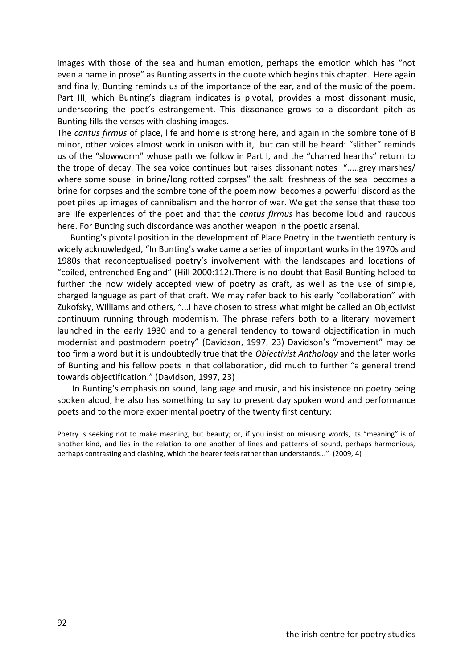images with those of the sea and human emotion, perhaps the emotion which has "not even a name in prose" as Bunting asserts in the quote which begins this chapter. Here again and finally, Bunting reminds us of the importance of the ear, and of the music of the poem. Part III, which Bunting's diagram indicates is pivotal, provides a most dissonant music, underscoring the poet's estrangement. This dissonance grows to a discordant pitch as Bunting fills the verses with clashing images.

The *cantus firmus* of place, life and home is strong here, and again in the sombre tone of B minor, other voices almost work in unison with it, but can still be heard: "slither" reminds us of the "slowworm" whose path we follow in Part I, and the "charred hearths" return to the trope of decay. The sea voice continues but raises dissonant notes ".....grey marshes/ where some souse in brine/long rotted corpses" the salt freshness of the sea becomes a brine for corpses and the sombre tone of the poem now becomes a powerful discord as the poet piles up images of cannibalism and the horror of war. We get the sense that these too are life experiences of the poet and that the *cantus firmus* has become loud and raucous here. For Bunting such discordance was another weapon in the poetic arsenal.

 Bunting's pivotal position in the development of Place Poetry in the twentieth century is widely acknowledged, "In Bunting's wake came a series of important works in the 1970s and 1980s that reconceptualised poetry's involvement with the landscapes and locations of "coiled, entrenched England" (Hill 2000:112).There is no doubt that Basil Bunting helped to further the now widely accepted view of poetry as craft, as well as the use of simple, charged language as part of that craft. We may refer back to his early "collaboration" with Zukofsky, Williams and others, "...I have chosen to stress what might be called an Objectivist continuum running through modernism. The phrase refers both to a literary movement launched in the early 1930 and to a general tendency to toward objectification in much modernist and postmodern poetry" (Davidson, 1997, 23) Davidson's "movement" may be too firm a word but it is undoubtedly true that the *Objectivist Anthology* and the later works of Bunting and his fellow poets in that collaboration, did much to further "a general trend towards objectification." (Davidson, 1997, 23)

 In Bunting's emphasis on sound, language and music, and his insistence on poetry being spoken aloud, he also has something to say to present day spoken word and performance poets and to the more experimental poetry of the twenty first century:

Poetry is seeking not to make meaning, but beauty; or, if you insist on misusing words, its "meaning" is of another kind, and lies in the relation to one another of lines and patterns of sound, perhaps harmonious, perhaps contrasting and clashing, which the hearer feels rather than understands..." (2009, 4)